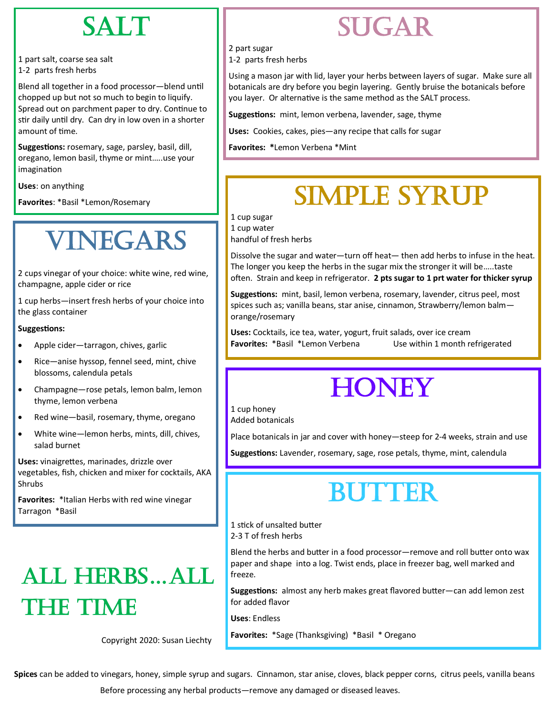### SALT

1 part salt, coarse sea salt 1-2 parts fresh herbs

Blend all together in a food processor—blend until chopped up but not so much to begin to liquify. Spread out on parchment paper to dry. Continue to stir daily until dry. Can dry in low oven in a shorter amount of time.

**Suggestions:** rosemary, sage, parsley, basil, dill, oregano, lemon basil, thyme or mint…..use your imagination

**Uses**: on anything

**Favorites**: \*Basil \*Lemon/Rosemary

## VINEGARS

2 cups vinegar of your choice: white wine, red wine, champagne, apple cider or rice

1 cup herbs—insert fresh herbs of your choice into the glass container

#### **Suggestions:**

- Apple cider—tarragon, chives, garlic
- Rice—anise hyssop, fennel seed, mint, chive blossoms, calendula petals
- Champagne—rose petals, lemon balm, lemon thyme, lemon verbena
- Red wine—basil, rosemary, thyme, oregano
- White wine—lemon herbs, mints, dill, chives, salad burnet

**Uses:** vinaigrettes, marinades, drizzle over vegetables, fish, chicken and mixer for cocktails, AKA Shrubs

**Favorites:** \*Italian Herbs with red wine vinegar Tarragon \*Basil

# ALL HERBS…ALL the time

Copyright 2020: Susan Liechty

### SUGAR

2 part sugar

1-2 parts fresh herbs

Using a mason jar with lid, layer your herbs between layers of sugar. Make sure all botanicals are dry before you begin layering. Gently bruise the botanicals before you layer. Or alternative is the same method as the SALT process.

**Suggestions:** mint, lemon verbena, lavender, sage, thyme

**Uses:** Cookies, cakes, pies—any recipe that calls for sugar

**Favorites: \***Lemon Verbena \*Mint

## SIMPLE SYRUP

1 cup sugar

1 cup water

handful of fresh herbs

Dissolve the sugar and water—turn off heat— then add herbs to infuse in the heat. The longer you keep the herbs in the sugar mix the stronger it will be…..taste often. Strain and keep in refrigerator. **2 pts sugar to 1 prt water for thicker syrup**

**Suggestions:** mint, basil, lemon verbena, rosemary, lavender, citrus peel, most spices such as; vanilla beans, star anise, cinnamon, Strawberry/lemon balm orange/rosemary

**Uses:** Cocktails, ice tea, water, yogurt, fruit salads, over ice cream **Favorites:** \*Basil \*Lemon Verbena Use within 1 month refrigerated

### **HONEY**

1 cup honey

Added botanicals

Place botanicals in jar and cover with honey—steep for 2-4 weeks, strain and use

**Suggestions:** Lavender, rosemary, sage, rose petals, thyme, mint, calendula

# **BUTTER**

1 stick of unsalted butter

<sup>2</sup>-3 T of fresh herbs

Blend the herbs and butter in a food processor—remove and roll butter onto wax paper and shape into a log. Twist ends, place in freezer bag, well marked and freeze.

**Suggestions:** almost any herb makes great flavored butter—can add lemon zest for added flavor

**Uses**: Endless

**Favorites:** \*Sage (Thanksgiving) \*Basil \* Oregano

**Spices** can be added to vinegars, honey, simple syrup and sugars. Cinnamon, star anise, cloves, black pepper corns, citrus peels, vanilla beans

Before processing any herbal products—remove any damaged or diseased leaves.